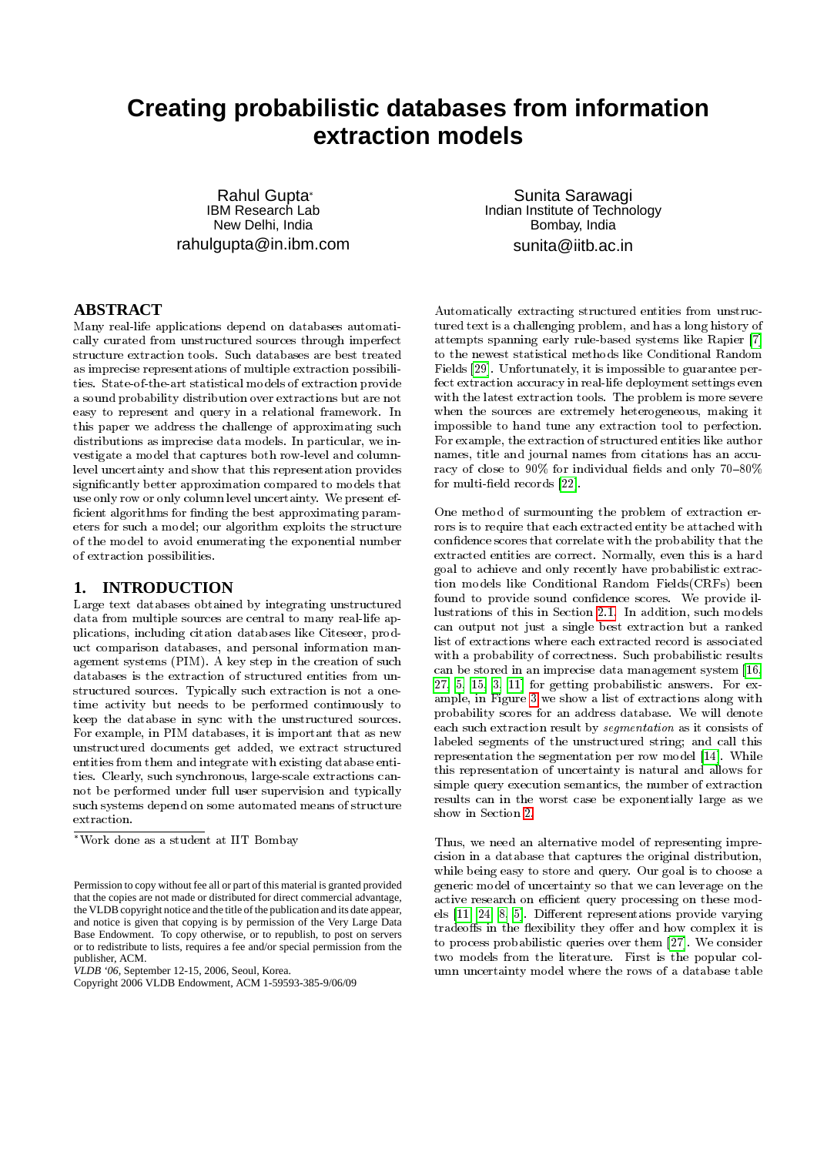# **Creating probabilistic databases from information extraction models**

Rahul Gupta IBM Research Lab New Delhi, India rahulgupta@in.ibm.com

**ABSTRACT**

Many real-life applications depend on databases automatically curated from unstructured sources through imperfect structure extraction tools. Such databases are best treated as imprecise representations of multiple extraction possibilities. State-of-the-art statistical models of extraction provide a sound probability distribution over extractions but are not easy to represent and query in a relational framework. In this paper we address the challenge of approximating such distributions as imprecise data models. In particular, we investigate a model that captures both row-level and columnlevel uncertainty and show that this representation provides signicantly better approximation compared to models that use only row or only column level uncertainty. We present ef ficient algorithms for finding the best approximating parameters for such a model; our algorithm exploits the structure of the model to avoid enumerating the exponential number of extraction possibilities.

# **1. INTRODUCTION**

Large text databases obtained by integrating unstructured data from multiple sources are central to many real-life applications, including citation databases like Citeseer, product comparison databases, and personal information management systems (PIM). A key step in the creation of such databases is the extraction of structured entities from unstructured sources. Typically such extraction is not a onetime activity but needs to be performed continuously to keep the database in sync with the unstructured sources. For example, in PIM databases, it is important that as new unstructured documents get added, we extract structured entities from them and integrate with existing database entities. Clearly, such synchronous, large-scale extractions cannot be performed under full user supervision and typically such systems depend on some automated means of structure extraction.

*VLDB '06,* September 12-15, 2006, Seoul, Korea.

Sunita Sarawagi Indian Institute of Technology Bombay, India sunita@iitb.ac.in

Automatically extracting structured entities from unstructured text is a challenging problem, and has a long history of attempts spanning early rule-based systems like Rapier [\[7\]](#page-10-0) to the newest statistical methods like Conditional Random Fields [\[29\]](#page-11-0). Unfortunately, it is impossible to guarantee perfect extraction accuracy in real-life deployment settings even with the latest extraction tools. The problem is more severe when the sources are extremely heterogeneous, making it impossible to hand tune any extraction tool to perfection. For example, the extraction of structured entities like author names, title and journal names from citations has an accuracy of close to 90% for individual fields and only 70-80% for multi-field records  $[22]$ .

One method of surmounting the problem of extraction errors is to require that each extracted entity be attached with condence scores that correlate with the probability that the extracted entities are correct. Normally, even this is a hard goal to achieve and only recently have probabilistic extraction models like Conditional Random Fields(CRFs) been found to provide sound confidence scores. We provide illustrations of this in Section [2.1.](#page-1-0) In addition, such models can output not just a single best extraction but a ranked list of extractions where each extracted record is associated with a probability of correctness. Such probabilistic results can be stored in an imprecise data management system [\[16,](#page-11-2) [27,](#page-11-3) [5,](#page-10-1) [15,](#page-11-4) [3,](#page-10-2) [11\]](#page-10-3) for getting probabilistic answers. For example, in Figure [3](#page-3-0) we show a list of extractions along with probability scores for an address database. We will denote each such extraction result by segmentation as it consists of labeled segments of the unstructured string; and call this representation the segmentation per row model [\[14\]](#page-11-5). While this representation of uncertainty is natural and allows for simple query execution semantics, the number of extraction results can in the worst case be exponentially large as we show in Section [2.](#page-1-1)

Thus, we need an alternative model of representing imprecision in a database that captures the original distribution, while being easy to store and query. Our goal is to choose a generic model of uncertainty so that we can leverage on the active research on efficient query processing on these models  $[11, 24, 8, 5]$  $[11, 24, 8, 5]$  $[11, 24, 8, 5]$  $[11, 24, 8, 5]$ . Different representations provide varying tradeoffs in the flexibility they offer and how complex it is to process probabilistic queries over them [\[27\]](#page-11-3). We consider two models from the literature. First is the popular column uncertainty model where the rows of a database table

Work done as a student at IIT Bombay

Permission to copy without fee all or part of this material is granted provided that the copies are not made or distributed for direct commercial advantage, the VLDB copyright notice and the title of the publication and its date appear, and notice is given that copying is by permission of the Very Large Data Base Endowment. To copy otherwise, or to republish, to post on servers or to redistribute to lists, requires a fee and/or special permission from the publisher, ACM.

Copyright 2006 VLDB Endowment, ACM 1-59593-385-9/06/09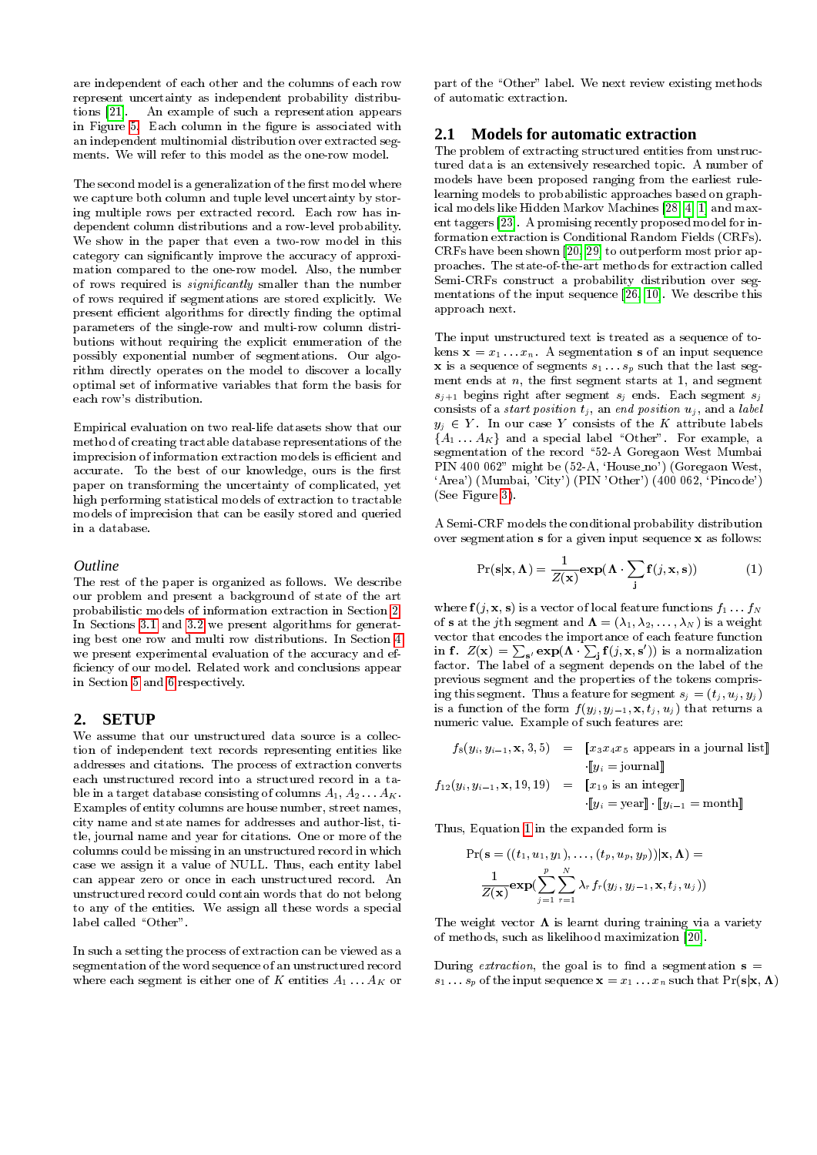are independent of each other and the columns of each row represent uncertainty as independent probability distributions [\[21\]](#page-11-7). An example of such a representation appears in Figure [5.](#page-3-1) Each column in the figure is associated with an independent multinomial distribution over extracted segments. We will refer to this model as the one-row model.

The second model is a generalization of the first model where we capture both column and tuple level uncertainty by storing multiple rows per extracted record. Each row has independent column distributions and a row-level probability. We show in the paper that even a two-row model in this category can signicantly improve the accuracy of approximation compared to the one-row model. Also, the number of rows required is *significantly* smaller than the number of rows required if segmentations are stored explicitly. We present efficient algorithms for directly finding the optimal parameters of the single-row and multi-row column distributions without requiring the explicit enumeration of the possibly exponential number of segmentations. Our algorithm directly operates on the model to discover a locally optimal set of informative variables that form the basis for each row's distribution.

Empirical evaluation on two real-life datasets show that our method of creating tractable database representations of the imprecision of information extraction models is efficient and accurate. To the best of our knowledge, ours is the first paper on transforming the uncertainty of complicated, yet high performing statistical models of extraction to tractable models of imprecision that can be easily stored and queried in a database.

#### *Outline*

The rest of the paper is organized as follows. We describe our problem and present a background of state of the art probabilistic models of information extraction in Section [2.](#page-1-1) In Sections [3.1](#page-4-0) and [3.2](#page-4-1) we present algorithms for generating best one row and multi row distributions. In Section [4](#page-7-0) we present experimental evaluation of the accuracy and ef ciency of our model. Related work and conclusions appear in Section [5](#page-9-0) and [6](#page-10-5) respectively.

# <span id="page-1-1"></span>**2. SETUP**

We assume that our unstructured data source is a collection of independent text records representing entities like addresses and citations. The process of extraction converts each unstructured record into a structured record in a table in a target database consisting of columns  $A_1, A_2, \ldots, A_K$ . Examples of entity columns are house number, street names, city name and state names for addresses and author-list, title, journal name and year for citations. One or more of the columns could be missing in an unstructured record in which case we assign it a value of NULL. Thus, each entity label can appear zero or once in each unstructured record. An unstructured record could contain words that do not belong to any of the entities. We assign all these words a special label called "Other".

In such a setting the process of extraction can be viewed as a segmentation of the word sequence of an unstructured record where each segment is either one of K entities  $A_1 \ldots A_K$  or

part of the "Other" label. We next review existing methods of automatic extraction.

# <span id="page-1-0"></span>**2.1 Models for automatic extraction**

The problem of extracting structured entities from unstructured data is an extensively researched topic. A number of models have been proposed ranging from the earliest rulelearning models to probabilistic approaches based on graphical models like Hidden Markov Machines [\[28,](#page-11-8) [4,](#page-10-6) [1\]](#page-10-7) and maxent taggers [\[23\]](#page-11-9). A promising recently proposed model for information extraction is Conditional Random Fields (CRFs). CRFs have been shown [\[20,](#page-11-10) [29\]](#page-11-0) to outperform most prior approaches. The state-of-the-art methods for extraction called Semi-CRFs construct a probability distribution over segmentations of the input sequence [\[26,](#page-11-11) [10\]](#page-10-8). We describe this approach next.

The input unstructured text is treated as a sequence of tokens  $\mathbf{x} = x_1 \dots x_n$ . A segmentation s of an input sequence **x** is a sequence of segments  $s_1 \tldots s_p$  such that the last segment ends at  $n$ , the first segment starts at 1, and segment  $s_{j+1}$  begins right after segment  $s_j$  ends. Each segment  $s_j$ consists of a *start position*  $t_j$ , an end position  $u_j$ , and a label  $y_j \in Y$ . In our case Y consists of the K attribute labels  ${A_1 \dots A_K}$  and a special label "Other". For example, a segmentation of the record \52-A Goregaon West Mumbai PIN 400 062" might be (52-A, 'House\_no') (Goregaon West, 'Area') (Mumbai, 'City') (PIN 'Other') (400 062, 'Pincode') (See Figure [3\)](#page-3-0).

A Semi-CRF models the conditional probability distribution over segmentation s for a given input sequence x as follows:

<span id="page-1-2"></span>
$$
Pr(s|\mathbf{x}, \mathbf{\Lambda}) = \frac{1}{Z(\mathbf{x})} exp(\mathbf{\Lambda} \cdot \sum_{\mathbf{j}} \mathbf{f}(j, \mathbf{x}, \mathbf{s}))
$$
(1)

where  $f(j, x, s)$  is a vector of local feature functions  $f_1 \ldots f_N$ of s at the j<sup>th</sup> segment and  $\mathbf{\Lambda} = (\lambda_1, \lambda_2, \ldots, \lambda_N)$  is a weight vector that encodes the importance of each feature function in f.  $Z(\mathbf{x}) = \sum_{\mathbf{s}'} \exp(\mathbf{\Lambda} \cdot \sum_{\mathbf{j}} \mathbf{f}(j, \mathbf{x}, \mathbf{s}'))$  is a normalization factor. The label of a segment depends on the label of the previous segment and the properties of the tokens comprising this segment. Thus a feature for segment  $s_j = (t_j, u_j, y_j)$ is a function of the form  $f(y_j, y_{j-1}, \mathbf{x}, t_j, u_j)$  that returns a numeric value. Example of such features are:

$$
f_8(y_i, y_{i-1}, \mathbf{x}, 3, 5) = \begin{bmatrix} x_3 x_4 x_5 \text{ appears in a journal list} \end{bmatrix}
$$

$$
f_{12}(y_i, y_{i-1}, \mathbf{x}, 19, 19) = \begin{bmatrix} x_{19} \text{ is an integer} \end{bmatrix}
$$

$$
\cdot \begin{bmatrix} y_i = \text{year} \end{bmatrix} \cdot \begin{bmatrix} y_{i-1} = \text{month} \end{bmatrix}
$$

Thus, Equation [1](#page-1-2) in the expanded form is

$$
\Pr(\mathbf{s} = ((t_1, u_1, y_1), \dots, (t_p, u_p, y_p))|\mathbf{x}, \mathbf{\Lambda}) = \frac{1}{Z(\mathbf{x})}\exp\left(\sum_{j=1}^p \sum_{r=1}^N \lambda_r f_r(y_j, y_{j-1}, \mathbf{x}, t_j, u_j)\right)
$$

The weight vector  $\Lambda$  is learnt during training via a variety of methods, such as likelihood maximization [\[20\]](#page-11-10).

During *extraction*, the goal is to find a segmentation  $s =$  $s_1 \ldots s_p$  of the input sequence  $\mathbf{x} = x_1 \ldots x_n$  such that  $\Pr(\mathbf{s}|\mathbf{x}, \mathbf{\Lambda})$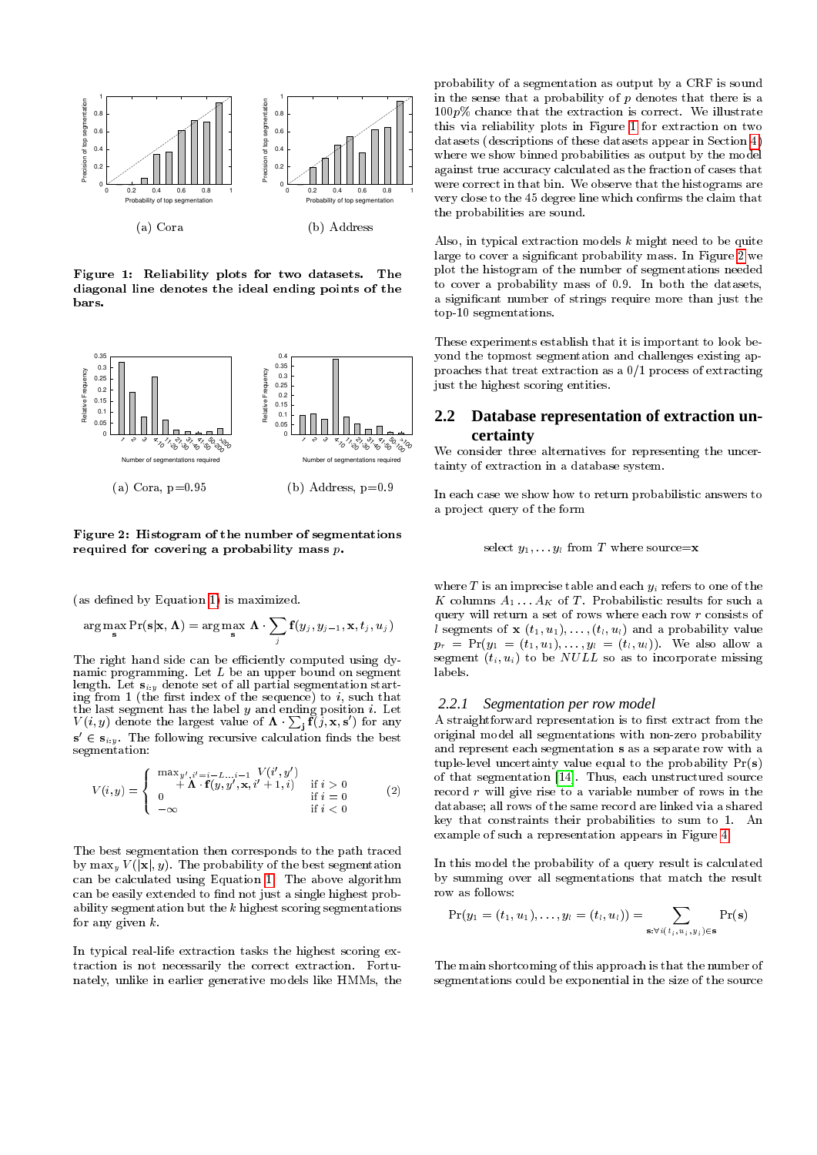

<span id="page-2-0"></span>Figure 1: Reliability plots for two datasets. The diagonal line denotes the ideal ending points of the bars.



<span id="page-2-1"></span>Figure 2: Histogram of the number of segmentations required for covering a probability mass  $p$ .

(as defined by Equation [1\)](#page-1-2) is maximized.

$$
\arg\max_{\mathbf{s}} \Pr(\mathbf{s}|\mathbf{x}, \mathbf{\Lambda}) = \arg\max_{\mathbf{s}} \mathbf{\Lambda} \cdot \sum_{j} \mathbf{f}(y_j, y_{j-1}, \mathbf{x}, t_j, u_j)
$$

The right hand side can be efficiently computed using dynamic programming. Let  $L$  be an upper bound on segment length. Let  $s_{i,y}$  denote set of all partial segmentation starting from 1 (the first index of the sequence) to  $i$ , such that the last segment has the label  $y$  and ending position  $i$ . Let  $V(i, y)$  denote the largest value of  $\mathbf{\Lambda} \cdot \sum_{\mathbf{j}} \tilde{\mathbf{f}}(\tilde{j}, \mathbf{x}, \mathbf{s}')$  for any  $\mathbf{s}' \in \mathbf{s}_{i:y}$ . The following recursive calculation finds the best segmentation:

$$
V(i,y) = \begin{cases} \begin{array}{c} \max_{y',i'=i-L...i-1} V(i',y') \\ +\Lambda \cdot \mathbf{f}(y,y',\mathbf{x},i'+1,i) & \text{if } i > 0 \\ 0 & \text{if } i = 0 \\ -\infty & \text{if } i < 0 \end{array} \end{cases} \tag{2}
$$

The best segmentation then corresponds to the path traced by  $\max_y V(|\mathbf{x}|, y)$ . The probability of the best segmentation can be calculated using Equation [1.](#page-1-2) The above algorithm can be easily extended to find not just a single highest probability segmentation but the  $k$  highest scoring segmentations for any given  $k$ .

In typical real-life extraction tasks the highest scoring extraction is not necessarily the correct extraction. Fortunately, unlike in earlier generative models like HMMs, the

probability of a segmentation as output by a CRF is sound in the sense that a probability of  $p$  denotes that there is a 100p% chance that the extraction is correct. We illustrate this via reliability plots in Figure [1](#page-2-0) for extraction on two datasets (descriptions of these datasets appear in Section [4\)](#page-7-0) where we show binned probabilities as output by the model against true accuracy calculated as the fraction of cases that were correct in that bin. We observe that the histograms are very close to the 45 degree line which conrms the claim that the probabilities are sound.

Also, in typical extraction models  $k$  might need to be quite large to cover a signicant probability mass. In Figure [2](#page-2-1) we plot the histogram of the number of segmentations needed to cover a probability mass of 0.9. In both the datasets, a signicant number of strings require more than just the top-10 segmentations.

These experiments establish that it is important to look beyond the topmost segmentation and challenges existing approaches that treat extraction as a 0/1 process of extracting just the highest scoring entities.

# **2.2 Database representation of extraction uncertainty**

We consider three alternatives for representing the uncertainty of extraction in a database system.

In each case we show how to return probabilistic answers to a project query of the form

select  $y_1, \ldots, y_l$  from T where source=**x** 

where  $T$  is an imprecise table and each  $y_i$  refers to one of the K columns  $A_1 \ldots A_K$  of T. Probabilistic results for such a query will return a set of rows where each row  $r$  consists of l segments of  $\mathbf{x}$   $(t_1, u_1), \ldots, (t_l, u_l)$  and a probability value  $p_r \ = \ \Pr(y_1 \ = \ (t_1, u_1), \ldots, y_l \ = \ (t_l, u_l)).$  We also allow a segment  $(t_i, u_i)$  to be *NULL* so as to incorporate missing labels.

#### *2.2.1 Segmentation per row model*

A straightforward representation is to first extract from the original model all segmentations with non-zero probability and represent each segmentation s as a separate row with a tuple-level uncertainty value equal to the probability Pr(s) of that segmentation [\[14\]](#page-11-5). Thus, each unstructured source record  $r$  will give rise to a variable number of rows in the database; all rows of the same record are linked via a shared key that constraints their probabilities to sum to 1. An example of such a representation appears in Figure [4.](#page-3-2)

In this model the probability of a query result is calculated by summing over all segmentations that match the result row as follows:

$$
\Pr(y_1=(t_1,u_1),\ldots,y_l=(t_l,u_l))=\sum_{\mathbf{s}:\forall i\,(t_i,u_i,y_i)\in\mathbf{s}}\Pr(\mathbf{s})
$$

The main shortcoming of this approach is that the number of segmentations could be exponential in the size of the source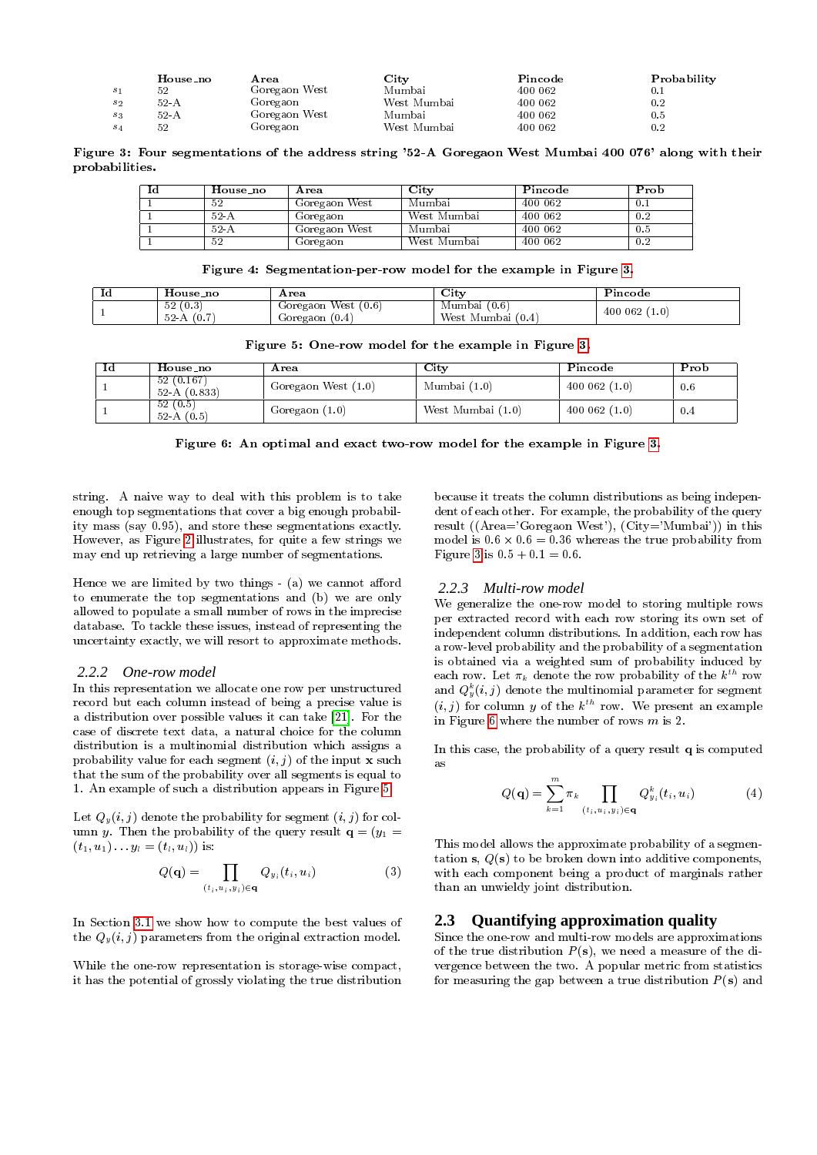|         | House_no | Area          | City        | Pincode | Probability |
|---------|----------|---------------|-------------|---------|-------------|
| $s_{1}$ | 52       | Goregaon West | Mumbai      | 400 062 |             |
| $s_{2}$ | 52- A    | Goregaon      | West Mumbai | 400 062 | 0.2         |
| S 3     | 52-A     | Goregaon West | Mumbai      | 400 062 | 0.5         |
| S 4     | 52       | Goregaon      | West Mumbai | 400 062 | 0.2         |

Figure 3: Four segmentations of the address string '52-A Goregaon West Mumbai 400 076' along with their probabilities.

| Ιd | House_no | Area          | $\mathrm{City}$ | Pincode | Prob |
|----|----------|---------------|-----------------|---------|------|
|    | 52       | Goregaon West | Mumbai          | 400 062 | 0.1  |
|    | $52-A$   | Goregaon      | West Mumbai     | 400 062 | 0.2  |
|    | $52-A$   | Goregaon West | Mumbai          | 400 062 | 0.5  |
|    | 52       | Goregaon      | West Mumbai     | 400 062 | 0.2  |

Figure 4: Segmentation-per-row model for the example in Figure [3.](#page-3-0)

| .u | House no                   | Area                                           | $\mathbf{C}$ it v                      | Pincode         |
|----|----------------------------|------------------------------------------------|----------------------------------------|-----------------|
|    | 52(0.3)<br>- 52-A<br>(0.7) | (0.6)<br>West<br>Goregaon<br>(0.4)<br>Goregaon | (0.6)<br>Mumbai (<br>West Mumbai (0.4) | 400 062<br>1.0) |

| Figure 5: One-row model for the example in Figure 3. |  |  |  |  |
|------------------------------------------------------|--|--|--|--|
|                                                      |  |  |  |  |

| Id | House_no                    | Area                | $\rm\bf City$     | Pincode     | Prob |
|----|-----------------------------|---------------------|-------------------|-------------|------|
|    | 52(0.167)<br>52 A $(0.833)$ | Goregaon West (1.0) | Mumbai $(1.0)$    | 400062(1.0) | 0.6  |
|    | 52(0.5)<br>$52-A(0.5)$      | Goregaon $(1.0)$    | West Mumbai (1.0) | 400062(1.0) | 0.4  |

Figure 6: An optimal and exact two-row model for the example in Figure [3.](#page-3-0)

string. A naive way to deal with this problem is to take enough top segmentations that cover a big enough probability mass (say 0:95), and store these segmentations exactly. However, as Figure [2](#page-2-1) illustrates, for quite a few strings we may end up retrieving a large number of segmentations.

Hence we are limited by two things  $-$  (a) we cannot afford to enumerate the top segmentations and (b) we are only allowed to populate a small number of rows in the imprecise database. To tackle these issues, instead of representing the uncertainty exactly, we will resort to approximate methods.

#### *2.2.2 One-row model*

In this representation we allocate one row per unstructured record but each column instead of being a precise value is a distribution over possible values it can take [\[21\]](#page-11-7). For the case of discrete text data, a natural choice for the column distribution is a multinomial distribution which assigns a probability value for each segment  $(i, j)$  of the input **x** such that the sum of the probability over all segments is equal to 1. An example of such a distribution appears in Figure [5.](#page-3-1)

Let  $Q_y(i, j)$  denote the probability for segment  $(i, j)$  for column y. Then the probability of the query result  $\mathbf{q} = (y_1 =$  $(t_1, u_1) \ldots y_l = (t_l, u_l)$  is:

<span id="page-3-4"></span>
$$
Q(\mathbf{q}) = \prod_{(t_i, u_i, y_i) \in \mathbf{q}} Q_{y_i}(t_i, u_i)
$$
 (3)

In Section [3.1](#page-4-0) we show how to compute the best values of the  $Q_y(i, j)$  parameters from the original extraction model.

While the one-row representation is storage-wise compact, it has the potential of grossly violating the true distribution <span id="page-3-3"></span><span id="page-3-2"></span><span id="page-3-1"></span><span id="page-3-0"></span>because it treats the column distributions as being independent of each other. For example, the probability of the query result ((Area='Goregaon West'), (City='Mumbai')) in this model is  $0.6 \times 0.6 = 0.36$  whereas the true probability from Figure [3](#page-3-0) is  $0.5 + 0.1 = 0.6$ .

## *2.2.3 Multi-row model*

We generalize the one-row model to storing multiple rows per extracted record with each row storing its own set of independent column distributions. In addition, each row has a row-level probability and the probability of a segmentation is obtained via a weighted sum of probability induced by each row. Let  $\pi_k$  denote the row probability of the  $k^{th}$  row and  $Q_y^k(i,j)$  denote the multinomial parameter for segment  $(i, j)$  for column y of the  $k^{th}$  row. We present an example in Figure [6](#page-3-3) where the number of rows  $m$  is 2.

In this case, the probability of a query result q is computed as

$$
Q(\mathbf{q}) = \sum_{k=1}^{m} \pi_k \prod_{(t_i, u_i, y_i) \in \mathbf{q}} Q_{y_i}^k(t_i, u_i)
$$
(4)

This model allows the approximate probability of a segmentation s,  $Q(s)$  to be broken down into additive components, with each component being a product of marginals rather than an unwieldy joint distribution.

## **2.3 Quantifying approximation quality**

Since the one-row and multi-row models are approximations of the true distribution  $P(s)$ , we need a measure of the divergence between the two. A popular metric from statistics for measuring the gap between a true distribution  $P(s)$  and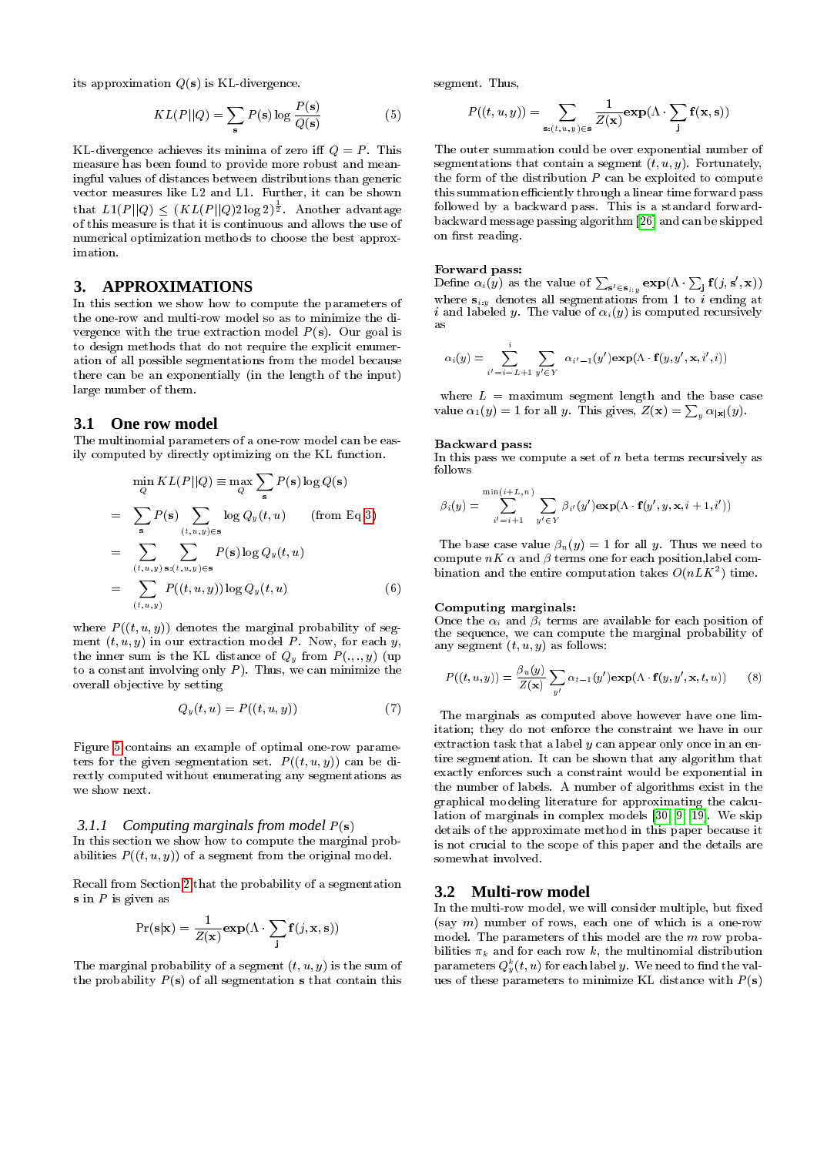its approximation  $Q(s)$  is KL-divergence.

$$
KL(P||Q) = \sum_{s} P(s) \log \frac{P(s)}{Q(s)}
$$
(5)

KL-divergence achieves its minima of zero iff  $Q = P$ . This measure has been found to provide more robust and meaningful values of distances between distributions than generic vector measures like L2 and L1. Further, it can be shown that  $L1(P||Q) \leq (KL(P||Q)2\log 2)^{\frac{1}{2}}$ . Another advantage of this measure is that it is continuous and allows the use of numerical optimization methods to choose the best approximation.

## **3. APPROXIMATIONS**

In this section we show how to compute the parameters of the one-row and multi-row model so as to minimize the divergence with the true extraction model  $P(s)$ . Our goal is to design methods that do not require the explicit enumeration of all possible segmentations from the model because there can be an exponentially (in the length of the input) large number of them.

## <span id="page-4-0"></span>**3.1 One row model**

The multinomial parameters of a one-row model can be easily computed by directly optimizing on the KL function.

<span id="page-4-2"></span>
$$
\min_{Q} KL(P||Q) \equiv \max_{Q} \sum_{s} P(s) \log Q(s)
$$
\n
$$
= \sum_{s} P(s) \sum_{(t,u,y) \in s} \log Q_{y}(t,u) \qquad \text{(from Eq 3)}
$$
\n
$$
= \sum_{(t,u,y)} \sum_{s:(t,u,y) \in s} P(s) \log Q_{y}(t,u)
$$
\n
$$
= \sum_{(t,u,y)} P((t,u,y)) \log Q_{y}(t,u) \qquad (6)
$$

where  $P((t, u, y))$  denotes the marginal probability of segment  $(t, u, y)$  in our extraction model P. Now, for each y, the inner sum is the KL distance of  $Q_y$  from  $P(., ., y)$  (up to a constant involving only  $P$ ). Thus, we can minimize the overall objective by setting

$$
Q_y(t, u) = P((t, u, y))
$$
\n<sup>(7)</sup>

Figure [5](#page-3-1) contains an example of optimal one-row parameters for the given segmentation set.  $P((t, u, y))$  can be directly computed without enumerating any segmentations as we show next.

#### <span id="page-4-3"></span>*3.1.1 Computing marginals from model* P(s)

In this section we show how to compute the marginal probabilities  $P((t, u, y))$  of a segment from the original model.

Recall from Section [2](#page-1-1) that the probability of a segmentation  $s$  in  $P$  is given as

$$
\Pr(\mathbf{s}|\mathbf{x}) = \frac{1}{Z(\mathbf{x})} \exp(\Lambda \cdot \sum_{\mathbf{j}} \mathbf{f}(j, \mathbf{x}, \mathbf{s}))
$$

The marginal probability of a segment  $(t, u, y)$  is the sum of the probability  $P(s)$  of all segmentation s that contain this

segment. Thus,

$$
P((t, u, y)) = \sum_{\mathbf{s}: (t, u, y) \in \mathbf{s}} \frac{1}{Z(\mathbf{x})} \exp(\Lambda \cdot \sum_{\mathbf{j}} \mathbf{f}(\mathbf{x}, \mathbf{s}))
$$

The outer summation could be over exponential number of segmentations that contain a segment  $(t, u, y)$ . Fortunately, the form of the distribution  $P$  can be exploited to compute this summation efficiently through a linear time forward pass followed by a backward pass. This is a standard forwardbackward message passing algorithm [\[26\]](#page-11-11) and can be skipped on first reading.

#### Forward pass:

Define  $\alpha_i(y)$  as the value of  $\sum_{{\mathbf{s'}} \in {\mathbf{s}}_{i:y}} \exp(\Lambda \cdot \sum_{{\mathbf{j}}} {\mathbf{f}}(j, {\mathbf{s'}} , {\mathbf{x}}))$ where  $\mathbf{s}_{i:y}$  denotes all segmentations from 1 to  $i$  ending at  $i$  and labeled  $y$ . The value of  $\alpha_i(y)$  is computed recursively as

$$
\alpha_i(y) = \sum_{i'=i-L+1}^i \sum_{y' \in Y} \alpha_{i'-1}(y') \exp(\Lambda \cdot \mathbf{f}(y, y', \mathbf{x}, i', i))
$$

where  $L =$  maximum segment length and the base case value  $\alpha_1(y) = 1$  for all y. This gives,  $Z(\mathbf{x}) = \sum_y \alpha_{|\mathbf{x}|}(y)$ .

#### Backward pass:

In this pass we compute a set of  $n$  beta terms recursively as follows

$$
\beta_i(y) = \sum_{i'=i+1}^{\min(i+L,n)} \sum_{y' \in Y} \beta_{i'}(y') \exp(\Lambda \cdot \mathbf{f}(y', y, \mathbf{x}, i+1, i'))
$$

The base case value  $\beta_n(y) = 1$  for all y. Thus we need to compute  $nK$   $\alpha$  and  $\beta$  terms one for each position, label combination and the entire computation takes  $O(nLK^2)$  time.

#### Computing marginals:

Once the  $\alpha_i$  and  $\beta_i$  terms are available for each position of the sequence, we can compute the marginal probability of any segment  $(t, u, y)$  as follows:

<span id="page-4-4"></span>
$$
P((t, u, y)) = \frac{\beta_u(y)}{Z(\mathbf{x})} \sum_{y'} \alpha_{t-1}(y') \exp(\Lambda \cdot \mathbf{f}(y, y', \mathbf{x}, t, u)) \qquad (8)
$$

The marginals as computed above however have one limitation; they do not enforce the constraint we have in our extraction task that a label  $y$  can appear only once in an entire segmentation. It can be shown that any algorithm that exactly enforces such a constraint would be exponential in the number of labels. A number of algorithms exist in the graphical modeling literature for approximating the calculation of marginals in complex models [\[30,](#page-11-12) [9,](#page-10-9) [19\]](#page-11-13). We skip details of the approximate method in this paper because it is not crucial to the scope of this paper and the details are somewhat involved.

## <span id="page-4-1"></span>**3.2 Multi-row model**

In the multi-row model, we will consider multiple, but fixed (say  $m$ ) number of rows, each one of which is a one-row model. The parameters of this model are the m row probabilities  $\pi_k$  and for each row k, the multinomial distribution parameters  $Q_y^k(t,u)$  for each label  $y$ . We need to find the values of these parameters to minimize KL distance with  $P(s)$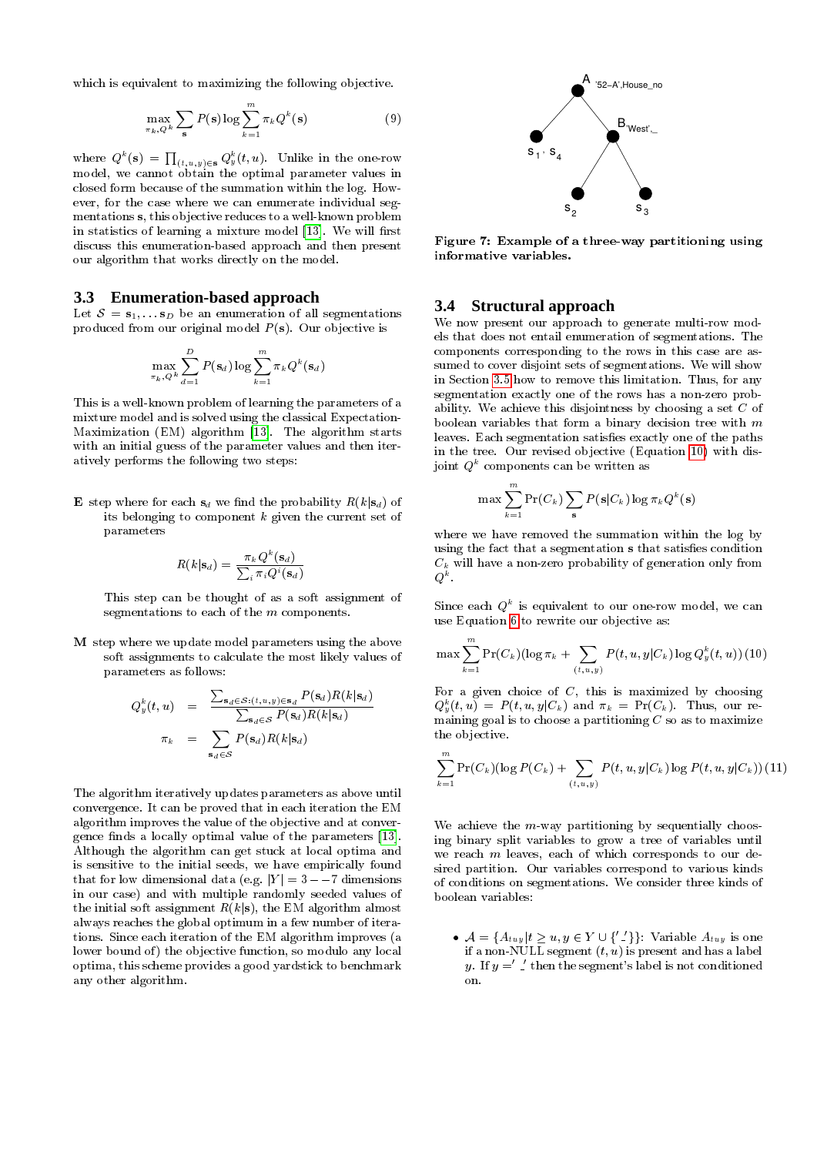which is equivalent to maximizing the following objective.

$$
\max_{\pi_k, Q^k} \sum_{\mathbf{s}} P(\mathbf{s}) \log \sum_{k=1}^m \pi_k Q^k(\mathbf{s}) \tag{9}
$$

where  $Q^k(\mathbf{s})\,=\,\prod_{(t,\,u\,,\,y)\,\in\,\mathbf{s}}Q^k_y(t,\,u).$  Unlike in the one-row model, we cannot obtain the optimal parameter values in closed form because of the summation within the log. However, for the case where we can enumerate individual segmentations s, this objective reduces to a well-known problem in statistics of learning a mixture model [\[13\]](#page-11-14). We will first discuss this enumeration-based approach and then present our algorithm that works directly on the model.

## <span id="page-5-3"></span>**3.3 Enumeration-based approach**

Let  $S = s_1, \ldots s_D$  be an enumeration of all segmentations produced from our original model  $P(s)$ . Our objective is

$$
\max_{\pi_k, Q^k} \sum_{d=1}^D P(\mathbf{s}_d) \log \sum_{k=1}^m \pi_k Q^k(\mathbf{s}_d)
$$

This is a well-known problem of learning the parameters of a mixture model and is solved using the classical Expectation-Maximization (EM) algorithm [\[13\]](#page-11-14). The algorithm starts with an initial guess of the parameter values and then iteratively performs the following two steps:

**E** step where for each  $s_d$  we find the probability  $R(k|s_d)$  of its belonging to component  $k$  given the current set of parameters

$$
R(k|\mathbf{s}_d) = \frac{\pi_k Q^k(\mathbf{s}_d)}{\sum_i \pi_i Q^i(\mathbf{s}_d)}
$$

This step can be thought of as a soft assignment of segmentations to each of the m components.

M step where we update model parameters using the above soft assignments to calculate the most likely values of parameters as follows:

$$
Q_y^k(t, u) = \frac{\sum_{\mathbf{s}_d \in S: (t, u, y) \in \mathbf{s}_d} P(\mathbf{s}_d) R(k|\mathbf{s}_d)}{\sum_{\mathbf{s}_d \in S} P(\mathbf{s}_d) R(k|\mathbf{s}_d)}
$$

$$
\pi_k = \sum_{\mathbf{s}_d \in S} P(\mathbf{s}_d) R(k|\mathbf{s}_d)
$$

The algorithm iteratively updates parameters as above until convergence. It can be proved that in each iteration the EM algorithm improves the value of the objective and at conver-gence finds a locally optimal value of the parameters [\[13\]](#page-11-14). Although the algorithm can get stuck at local optima and is sensitive to the initial seeds, we have empirically found that for low dimensional data (e.g.  $|Y| = 3 - -7$  dimensions in our case) and with multiple randomly seeded values of the initial soft assignment  $R(k|\mathbf{s})$ , the EM algorithm almost always reaches the global optimum in a few number of iterations. Since each iteration of the EM algorithm improves (a lower bound of) the objective function, so modulo any local optima, this scheme provides a good yardstick to benchmark any other algorithm.

<span id="page-5-1"></span>

Figure 7: Example of a three-way partitioning using informative variables.

#### **3.4 Structural approach**

We now present our approach to generate multi-row models that does not entail enumeration of segmentations. The components corresponding to the rows in this case are assumed to cover disjoint sets of segmentations. We will show in Section [3.5](#page-6-0) how to remove this limitation. Thus, for any segmentation exactly one of the rows has a non-zero probability. We achieve this disjointness by choosing a set C of boolean variables that form a binary decision tree with  $m$ leaves. Each segmentation satisfies exactly one of the paths in the tree. Our revised objective (Equation [10\)](#page-5-0) with disjoint  $Q^k$  components can be written as

<span id="page-5-0"></span>
$$
\max \sum_{k=1}^{m} \Pr(C_k) \sum_{\mathbf{s}} P(\mathbf{s}|C_k) \log \pi_k Q^k(\mathbf{s})
$$

where we have removed the summation within the log by using the fact that a segmentation s that satisfies condition  $C_k$  will have a non-zero probability of generation only from  $Q^k$  .

Since each  $Q^k$  is equivalent to our one-row model, we can use Equation [6](#page-4-2) to rewrite our objective as:

$$
\max \sum_{k=1}^m \Pr(C_k) (\log \pi_k + \sum_{(t,u,y)} P(t,u,y|C_k)\log Q^k_y(t,u)) \ (10)
$$

For a given choice of  $C$ , this is maximized by choosing  $Q_y^k(t,u) = P(t,u,y|C_k)$  and  $\pi_k = \Pr(C_k)$ . Thus, our remaining goal is to choose a partitioning  $C$  so as to maximize the objective.

<span id="page-5-2"></span>
$$
\sum_{k=1}^{m} \Pr(C_k) (\log P(C_k) + \sum_{(t, u, y)} P(t, u, y | C_k) \log P(t, u, y | C_k)) (11)
$$

We achieve the  $m$ -way partitioning by sequentially choosing binary split variables to grow a tree of variables until we reach  $m$  leaves, each of which corresponds to our desired partition. Our variables correspond to various kinds of conditions on segmentations. We consider three kinds of boolean variables:

•  $\mathcal{A} = \{A_{tuy} | t \geq u, y \in Y \cup \{'\}'\}$ : Variable  $A_{tuy}$  is one if a non-NULL segment  $(t, u)$  is present and has a label y. If  $y = '$   $\angle'$  then the segment's label is not conditioned on.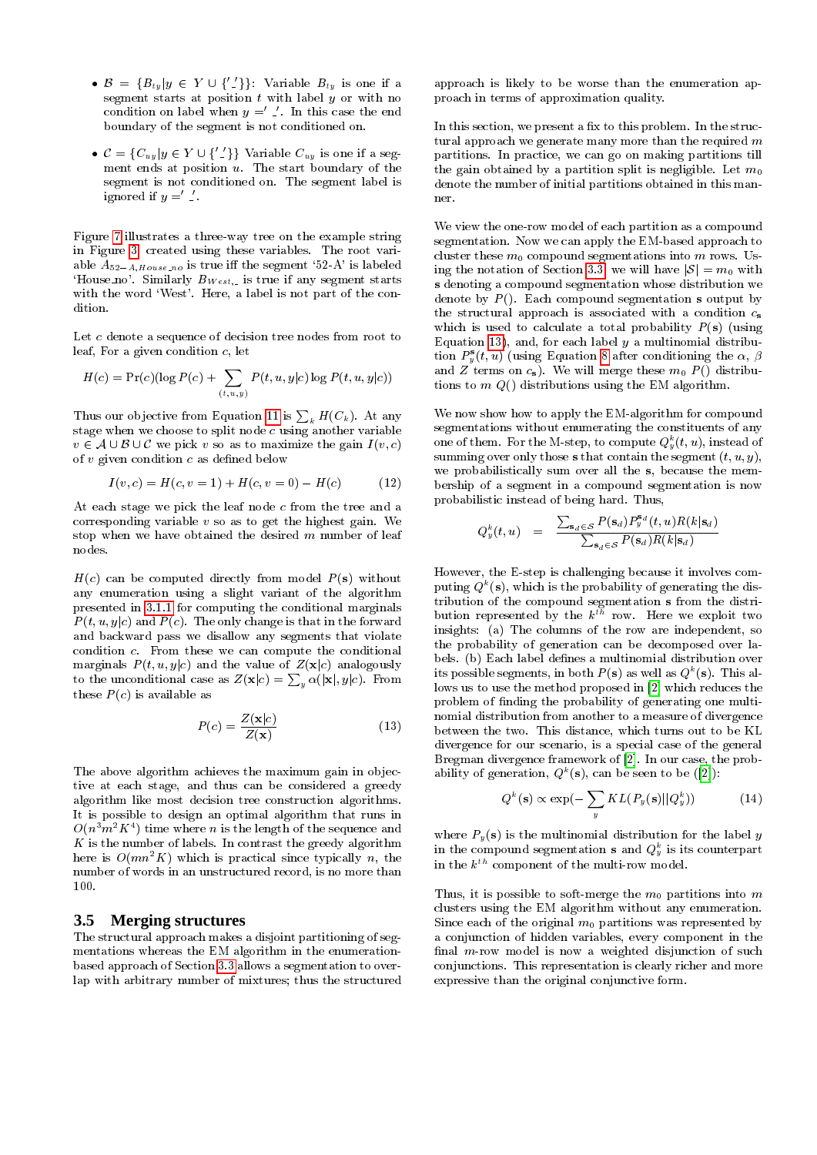- $\mathcal{B} = \{B_{ty} | y \in Y \cup \{'\} \}$ : Variable  $B_{ty}$  is one if a segment starts at position  $t$  with label  $\hat{y}$  or with no condition on label when  $y = '$ . In this case the end boundary of the segment is not conditioned on.
- $C = {C_{uy}}|y \in Y \cup {'}_{}^{'}\}$  Variable  $C_{uy}$  is one if a segment ends at position  $u$ . The start boundary of the segment is not conditioned on. The segment label is ignored if  $y = '$ .

Figure [7](#page-5-1) illustrates a three-way tree on the example string in Figure [3,](#page-3-0) created using these variables. The root variable  $A_{52-A,House\_no}$  is true iff the segment '52-A' is labeled 'House no'. Similarly  $B_{West}$  is true if any segment starts with the word 'West'. Here, a label is not part of the condition.

Let c denote a sequence of decision tree nodes from root to leaf, For a given condition c, let

$$
H(c) = \Pr(c) (\log P(c) + \sum_{(t,u,y)} P(t, u, y|c) \log P(t, u, y|c))
$$

Thus our objective from Equation [11](#page-5-2) is  $\sum_k H(C_k)$ . At any stage when we choose to split node  $c$  using another variable  $v \in A \cup B \cup C$  we pick v so as to maximize the gain  $I(v, c)$ of  $v$  given condition  $c$  as defined below

$$
I(v, c) = H(c, v = 1) + H(c, v = 0) - H(c)
$$
 (12)

At each stage we pick the leaf node c from the tree and a corresponding variable  $v$  so as to get the highest gain. We stop when we have obtained the desired  $m$  number of leaf nodes.

 $H(c)$  can be computed directly from model  $P(s)$  without any enumeration using a slight variant of the algorithm presented in [3.1.1](#page-4-3) for computing the conditional marginals  $P(t, u, y|c)$  and  $P(c)$ . The only change is that in the forward and backward pass we disallow any segments that violate condition c. From these we can compute the conditional marginals  $P(t, u, y|c)$  and the value of  $Z(x|c)$  analogously to the unconditional case as  $Z(\mathbf{x}|c) = \sum_{y} \alpha(|\mathbf{x}|, y|c)$ . From these  $P(c)$  is available as

<span id="page-6-1"></span>
$$
P(c) = \frac{Z(\mathbf{x}|c)}{Z(\mathbf{x})}
$$
 (13)

The above algorithm achieves the maximum gain in objective at each stage, and thus can be considered a greedy algorithm like most decision tree construction algorithms. It is possible to design an optimal algorithm that runs in  $O(n^3m^2K^4)$  time where  $n$  is the length of the sequence and  $K$  is the number of labels. In contrast the greedy algorithm here is  $O(mn^2 K)$  which is practical since typically n, the number of words in an unstructured record, is no more than 100.

# <span id="page-6-0"></span>**3.5 Merging structures**

The structural approach makes a disjoint partitioning of segmentations whereas the EM algorithm in the enumerationbased approach of Section [3.3](#page-5-3) allows a segmentation to overlap with arbitrary number of mixtures; thus the structured

approach is likely to be worse than the enumeration approach in terms of approximation quality.

In this section, we present a fix to this problem. In the structural approach we generate many more than the required  $m$ partitions. In practice, we can go on making partitions till the gain obtained by a partition split is negligible. Let  $m_0$ denote the number of initial partitions obtained in this manner.

We view the one-row model of each partition as a compound segmentation. Now we can apply the EM-based approach to cluster these  $m_0$  compound segmentations into  $m$  rows. Us-ing the notation of Section [3.3,](#page-5-3) we will have  $|S| = m_0$  with s denoting a compound segmentation whose distribution we denote by  $P()$ . Each compound segmentation s output by the structural approach is associated with a condition  $c_s$ which is used to calculate a total probability  $P(s)$  (using Equation [13\)](#page-6-1), and, for each label  $y$  a multinomial distribution  $P_{y}^{s}(t, u)$  (using Equation [8](#page-4-4) after conditioning the  $\alpha$ ,  $\beta$ and Z terms on  $c_s$ . We will merge these  $m_0 P(\bar{)}$  distributions to  $m(Q)$  distributions using the EM algorithm.

We now show how to apply the EM-algorithm for compound segmentations without enumerating the constituents of any one of them. For the M-step, to compute  $Q_y^k(t, u)$ , instead of summing over only those s that contain the segment  $(t, u, y)$ , we probabilistically sum over all the s, because the membership of a segment in a compound segmentation is now probabilistic instead of being hard. Thus,

$$
Q_y^k(t,u) = \frac{\sum_{\mathbf{s}_d \in \mathcal{S}} P(\mathbf{s}_d) P_y^{\mathbf{s}_d}(t,u) R(k|\mathbf{s}_d)}{\sum_{\mathbf{s}_d \in \mathcal{S}} P(\mathbf{s}_d) R(k|\mathbf{s}_d)}
$$

However, the E-step is challenging because it involves computing  $Q^k(\mathbf{s})$ , which is the probability of generating the distribution of the compound segmentation s from the distribution represented by the  $k^{th}$  row. Here we exploit two insights: (a) The columns of the row are independent, so the probability of generation can be decomposed over labels. (b) Each label defines a multinomial distribution over its possible segments, in both  $P(\mathbf{s})$  as well as  $Q^k(\mathbf{s})$ . This allows us to use the method proposed in [\[2\]](#page-10-10) which reduces the problem of finding the probability of generating one multinomial distribution from another to a measure of divergence between the two. This distance, which turns out to be KL divergence for our scenario, is a special case of the general Bregman divergence framework of [\[2\]](#page-10-10). In our case, the probability of generation,  $Q^k(\mathbf{s})$ , can be seen to be ([\[2\]](#page-10-10)):

$$
Q^{k}(\mathbf{s}) \propto \exp(-\sum_{y} KL(P_{y}(\mathbf{s}) || Q_{y}^{k})) \tag{14}
$$

where  $P_y(s)$  is the multinomial distribution for the label y in the compound segmentation  ${\bf s}$  and  $Q_y^k$  is its counterpart in the  $k^{th}$  component of the multi-row model.

Thus, it is possible to soft-merge the  $m_0$  partitions into  $m$ clusters using the EM algorithm without any enumeration. Since each of the original  $m_0$  partitions was represented by a conjunction of hidden variables, every component in the final  $m$ -row model is now a weighted disjunction of such conjunctions. This representation is clearly richer and more expressive than the original conjunctive form.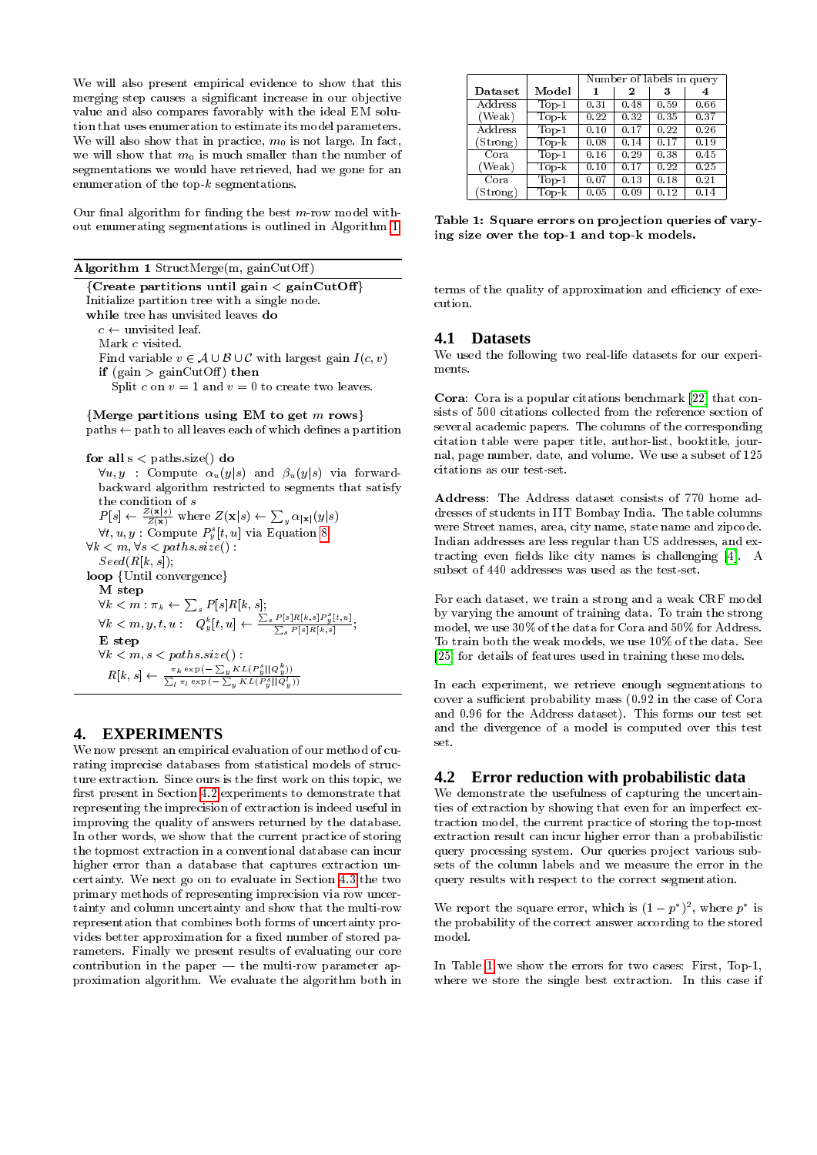We will also present empirical evidence to show that this merging step causes a signicant increase in our objective value and also compares favorably with the ideal EM solution that uses enumeration to estimate its model parameters. We will also show that in practice,  $m_0$  is not large. In fact, we will show that  $m_0$  is much smaller than the number of segmentations we would have retrieved, had we gone for an enumeration of the top- $k$  segmentations.

Our final algorithm for finding the best  $m$ -row model without enumerating segmentations is outlined in Algorithm [1.](#page-7-1)

Algorithm 1 StructMerge(m, gainCutOff)

<span id="page-7-1"></span> $[Create$  partitions until gain  $<$  gainCutOff] Initialize partition tree with a single node. while tree has unvisited leaves do  $c \leftarrow$  unvisited leaf. Mark c visited. Find variable  $v \in A \cup B \cup C$  with largest gain  $I(c, v)$ if (gain  $>$  gainCutOff) then Split c on  $v = 1$  and  $v = 0$  to create two leaves.

{Merge partitions using EM to get  $m$  rows}

 $paths \leftarrow path to all leaves each of which defines a partition$ 

for all  $s <$  paths.size() do  $\forall u, y$  : Compute  $\alpha_u(y|s)$  and  $\beta_u(y|s)$  via forwardbackward algorithm restricted to segments that satisfy the condition of s  $P[s] \leftarrow \frac{Z(\mathbf{x}|s)}{Z(\mathbf{x})}$  where  $Z(\mathbf{x}|s) \leftarrow \sum_{y} \alpha_{|\mathbf{x}|}(y|s)$  $\forall t, u, y: \text{Compute} \ P_y^s[t, u] \text{ via Equation 8}$  $\forall t, u, y: \text{Compute} \ P_y^s[t, u] \text{ via Equation 8}$  $\forall t, u, y: \text{Compute} \ P_y^s[t, u] \text{ via Equation 8}$  $\forall k < m, \forall s < paths.size()$ :  $Seed(R[k, s])$ ; loop {Until convergence} M step  $\forall k < m : \pi_k \leftarrow \sum_s P[s] R[k,s] ;$  $\forall k < m, y, t, u: \left[ \begin{array}{c} \sim \ \simbracket \bm{\Psi}_{y}^{k}[t,u] \gets \frac{\sum_{s} P[s] R[k,s] P_{y}^{s}[t,u]}{\sum_{s} P[s] R[k,s]}; \end{array} \right]$ E step  $\forall k < m, s < paths.size()$  :  $R[k, s] \leftarrow \frac{\pi_k \exp(-\sum_{y} KL(P_y^s || Q_y^b))}{\sum_{x} \pi_k \exp(-\sum_{y} KL(P_y^s || Q_y^b))}$  $\sum_l \pi_l \exp\left(-\sum_y KL(P_y^s || Q_y^l)\right)$ 

# <span id="page-7-0"></span>**4. EXPERIMENTS**

We now present an empirical evaluation of our method of curating imprecise databases from statistical models of structure extraction. Since ours is the first work on this topic, we first present in Section [4.2](#page-7-2) experiments to demonstrate that representing the imprecision of extraction is indeed useful in improving the quality of answers returned by the database. In other words, we show that the current practice of storing the topmost extraction in a conventional database can incur higher error than a database that captures extraction uncertainty. We next go on to evaluate in Section [4.3](#page-8-0) the two primary methods of representing imprecision via row uncertainty and column uncertainty and show that the multi-row representation that combines both forms of uncertainty provides better approximation for a fixed number of stored parameters. Finally we present results of evaluating our core contribution in the paper  $-$  the multi-row parameter approximation algorithm. We evaluate the algorithm both in

<span id="page-7-3"></span>

|          |         | Number of labels in query |      |      |      |  |
|----------|---------|---------------------------|------|------|------|--|
| Dataset  | Model   | 1                         | 2    | 3    | 4    |  |
| Address  | $Top-1$ | 0.31                      | 0.48 | 0.59 | 0.66 |  |
| (Weak)   | $Top-k$ | 0.22                      | 0.32 | 0.35 | 0.37 |  |
| Address  | $Top-1$ | 0.10                      | 0.17 | 0.22 | 0.26 |  |
| (Strong) | $Top-k$ | 0.08                      | 0.14 | 0.17 | 0.19 |  |
| Cora     | $Top-1$ | 0.16                      | 0.29 | 0.38 | 0.45 |  |
| (Weak)   | $Top-k$ | 0.10                      | 0.17 | 0.22 | 0.25 |  |
| Cora     | $Top-1$ | 0.07                      | 0.13 | 0.18 | 0.21 |  |
| (Strong) | $Top-k$ | 0.05                      | 0.09 | 0.12 | 0.14 |  |

Table 1: Square errors on projection queries of varying size over the top-1 and top-k models.

terms of the quality of approximation and efficiency of execution.

# **4.1 Datasets**

We used the following two real-life datasets for our experiments.

Cora: Cora is a popular citations benchmark [\[22\]](#page-11-1) that consists of 500 citations collected from the reference section of several academic papers. The columns of the corresponding citation table were paper title, author-list, booktitle, journal, page number, date, and volume. We use a subset of 125 citations as our test-set.

Address: The Address dataset consists of 770 home addresses of students in IIT Bombay India. The table columns were Street names, area, city name, state name and zipcode. Indian addresses are less regular than US addresses, and ex-tracting even fields like city names is challenging [\[4\]](#page-10-6). A subset of 440 addresses was used as the test-set.

For each dataset, we train a strong and a weak CRF model by varying the amount of training data. To train the strong model, we use 30% of the data for Cora and 50% for Address. To train both the weak models, we use 10% of the data. See [\[25\]](#page-11-15) for details of features used in training these models.

In each experiment, we retrieve enough segmentations to cover a sufficient probability mass (0.92 in the case of Cora and 0:96 for the Address dataset). This forms our test set and the divergence of a model is computed over this test set.

## <span id="page-7-2"></span>**4.2 Error reduction with probabilistic data**

We demonstrate the usefulness of capturing the uncertainties of extraction by showing that even for an imperfect extraction model, the current practice of storing the top-most extraction result can incur higher error than a probabilistic query processing system. Our queries project various subsets of the column labels and we measure the error in the query results with respect to the correct segmentation.

We report the square error, which is  $(1-p^*)^2$ , where  $p^*$  is the probability of the correct answer according to the stored model.

In Table [1](#page-7-3) we show the errors for two cases: First, Top-1, where we store the single best extraction. In this case if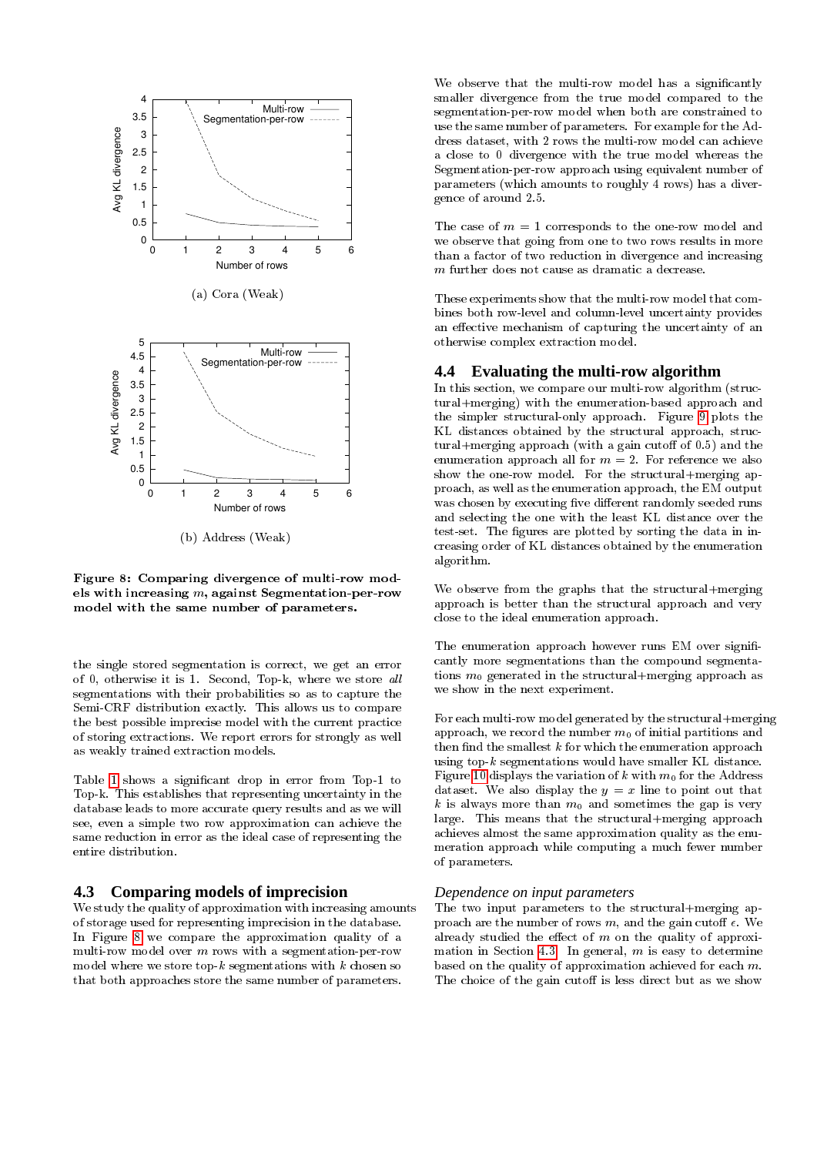

Figure 8: Comparing divergence of multi-row models with increasing  $m$ , against Segmentation-per-row model with the same number of parameters.

the single stored segmentation is correct, we get an error of 0, otherwise it is 1. Second, Top-k, where we store all segmentations with their probabilities so as to capture the Semi-CRF distribution exactly. This allows us to compare the best possible imprecise model with the current practice of storing extractions. We report errors for strongly as well as weakly trained extraction models.

Table [1](#page-7-3) shows a signicant drop in error from Top-1 to Top-k. This establishes that representing uncertainty in the database leads to more accurate query results and as we will see, even a simple two row approximation can achieve the same reduction in error as the ideal case of representing the entire distribution.

# <span id="page-8-0"></span>**4.3 Comparing models of imprecision**

We study the quality of approximation with increasing amounts of storage used for representing imprecision in the database. In Figure [8](#page-8-1) we compare the approximation quality of a multi-row model over  $m$  rows with a segmentation-per-row model where we store top- $k$  segmentations with  $k$  chosen so that both approaches store the same number of parameters.

We observe that the multi-row model has a significantly smaller divergence from the true model compared to the segmentation-per-row model when both are constrained to use the same number of parameters. For example for the Address dataset, with 2 rows the multi-row model can achieve a close to 0 divergence with the true model whereas the Segmentation-per-row approach using equivalent number of parameters (which amounts to roughly 4 rows) has a divergence of around 2.5.

The case of  $m = 1$  corresponds to the one-row model and we observe that going from one to two rows results in more than a factor of two reduction in divergence and increasing m further does not cause as dramatic a decrease.

These experiments show that the multi-row model that combines both row-level and column-level uncertainty provides an effective mechanism of capturing the uncertainty of an otherwise complex extraction model.

# **4.4 Evaluating the multi-row algorithm**

In this section, we compare our multi-row algorithm (structural+merging) with the enumeration-based approach and the simpler structural-only approach. Figure [9](#page-11-16) plots the KL distances obtained by the structural approach, structural+merging approach (with a gain cutoff of  $0.5$ ) and the enumeration approach all for  $m = 2$ . For reference we also show the one-row model. For the structural+merging approach, as well as the enumeration approach, the EM output was chosen by executing five different randomly seeded runs and selecting the one with the least KL distance over the test-set. The figures are plotted by sorting the data in increasing order of KL distances obtained by the enumeration algorithm.

<span id="page-8-1"></span>We observe from the graphs that the structural+merging approach is better than the structural approach and very close to the ideal enumeration approach.

The enumeration approach however runs EM over significantly more segmentations than the compound segmentations  $m_0$  generated in the structural+merging approach as we show in the next experiment.

For each multi-row model generated by the structural+merging approach, we record the number  $m_0$  of initial partitions and then find the smallest  $k$  for which the enumeration approach using top- $k$  segmentations would have smaller KL distance. Figure [10](#page-9-1) displays the variation of k with  $m_0$  for the Address dataset. We also display the  $y = x$  line to point out that k is always more than  $m_0$  and sometimes the gap is very large. This means that the structural+merging approach achieves almost the same approximation quality as the enumeration approach while computing a much fewer number of parameters.

## *Dependence on input parameters*

The two input parameters to the structural+merging approach are the number of rows m, and the gain cutoff  $\epsilon$ . We already studied the effect of  $m$  on the quality of approxi-mation in Section [4.3.](#page-8-0) In general,  $m$  is easy to determine based on the quality of approximation achieved for each m. The choice of the gain cutoff is less direct but as we show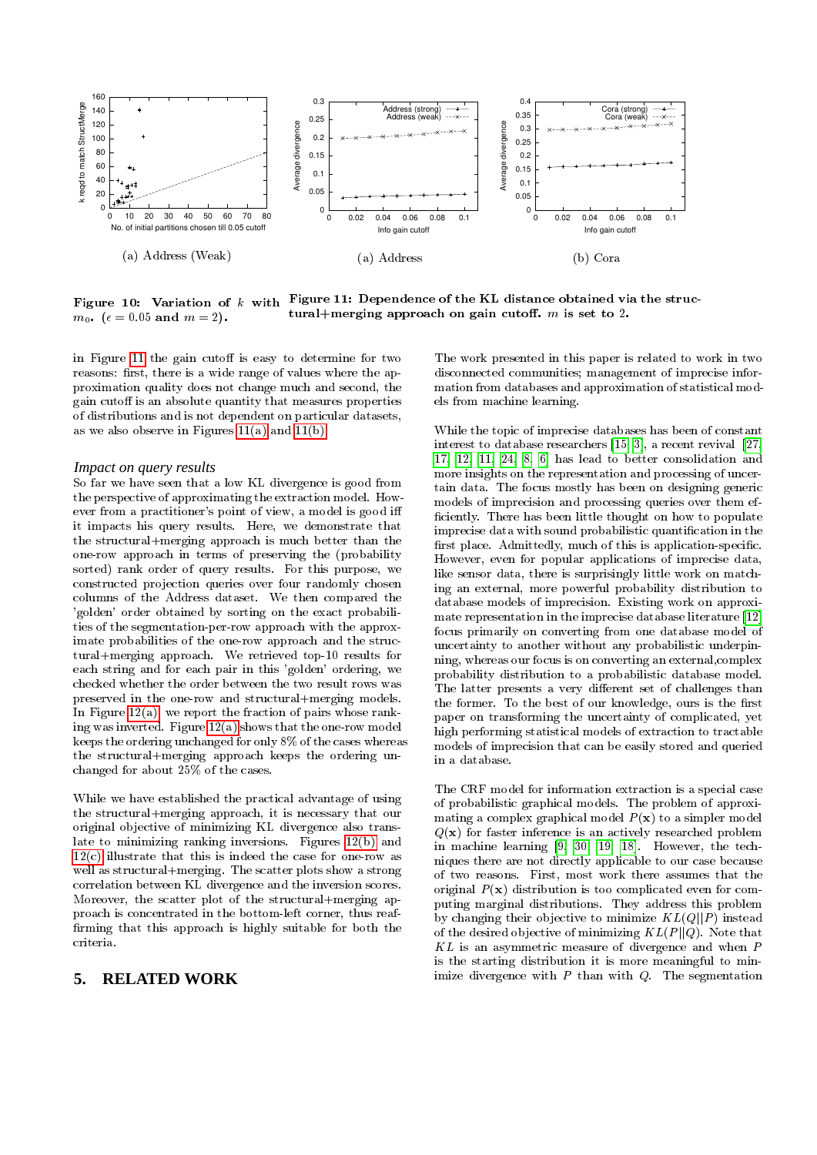<span id="page-9-3"></span>

<span id="page-9-1"></span>Figure 10: Variation of k with Figure 11: Dependence of the KL distance obtained via the struc $m_0$ . ( $\epsilon = 0.05$  and  $m = 2$ ). tural+merging approach on gain cutoff.  $m$  is set to 2.

in Figure [11](#page-9-2) the gain cutoff is easy to determine for two reasons: first, there is a wide range of values where the approximation quality does not change much and second, the gain cutoff is an absolute quantity that measures properties of distributions and is not dependent on particular datasets, as we also observe in Figures  $11(a)$  and  $11(b)$ .

#### *Impact on query results*

So far we have seen that a low KL divergence is good from the perspective of approximating the extraction model. However from a practitioner's point of view, a model is good i it impacts his query results. Here, we demonstrate that the structural+merging approach is much better than the one-row approach in terms of preserving the (probability sorted) rank order of query results. For this purpose, we constructed projection queries over four randomly chosen columns of the Address dataset. We then compared the 'golden' order obtained by sorting on the exact probabilities of the segmentation-per-row approach with the approximate probabilities of the one-row approach and the structural+merging approach. We retrieved top-10 results for each string and for each pair in this 'golden' ordering, we checked whether the order between the two result rows was preserved in the one-row and structural+merging models. In Figure  $12(a)$ , we report the fraction of pairs whose ranking was inverted. Figure  $12(a)$  shows that the one-row model keeps the ordering unchanged for only 8% of the cases whereas the structural+merging approach keeps the ordering unchanged for about 25% of the cases.

While we have established the practical advantage of using the structural+merging approach, it is necessary that our original objective of minimizing KL divergence also translate to minimizing ranking inversions. Figures [12\(b\)](#page-10-12) and  $12(c)$  illustrate that this is indeed the case for one-row as well as structural+merging. The scatter plots show a strong correlation between KL divergence and the inversion scores. Moreover, the scatter plot of the structural+merging approach is concentrated in the bottom-left corner, thus reaf firming that this approach is highly suitable for both the criteria.

# <span id="page-9-0"></span>**5. RELATED WORK**

<span id="page-9-4"></span><span id="page-9-2"></span>The work presented in this paper is related to work in two disconnected communities; management of imprecise information from databases and approximation of statistical models from machine learning.

While the topic of imprecise databases has been of constant interest to database researchers [\[15,](#page-11-4) [3\]](#page-10-2), a recent revival [\[27,](#page-11-3) [17,](#page-11-17) [12,](#page-10-14) [11,](#page-10-3) [24,](#page-11-6) [8,](#page-10-4) [6\]](#page-10-15) has lead to better consolidation and more insights on the representation and processing of uncertain data. The focus mostly has been on designing generic models of imprecision and processing queries over them ef ficiently. There has been little thought on how to populate imprecise data with sound probabilistic quantification in the first place. Admittedly, much of this is application-specific. However, even for popular applications of imprecise data, like sensor data, there is surprisingly little work on matching an external, more powerful probability distribution to database models of imprecision. Existing work on approximate representation in the imprecise database literature [\[12\]](#page-10-14) focus primarily on converting from one database model of uncertainty to another without any probabilistic underpinning, whereas our focus is on converting an external,complex probability distribution to a probabilistic database model. The latter presents a very different set of challenges than the former. To the best of our knowledge, ours is the first paper on transforming the uncertainty of complicated, yet high performing statistical models of extraction to tractable models of imprecision that can be easily stored and queried in a database.

The CRF model for information extraction is a special case of probabilistic graphical models. The problem of approximating a complex graphical model  $P(x)$  to a simpler model  $Q(\mathbf{x})$  for faster inference is an actively researched problem in machine learning [\[9,](#page-10-9) [30,](#page-11-12) [19,](#page-11-13) [18\]](#page-11-18). However, the techniques there are not directly applicable to our case because of two reasons. First, most work there assumes that the original  $P(x)$  distribution is too complicated even for computing marginal distributions. They address this problem by changing their objective to minimize  $KL(Q||P)$  instead of the desired objective of minimizing  $KL(P||Q)$ . Note that  $KL$  is an asymmetric measure of divergence and when  $P$ is the starting distribution it is more meaningful to minimize divergence with  $P$  than with  $Q$ . The segmentation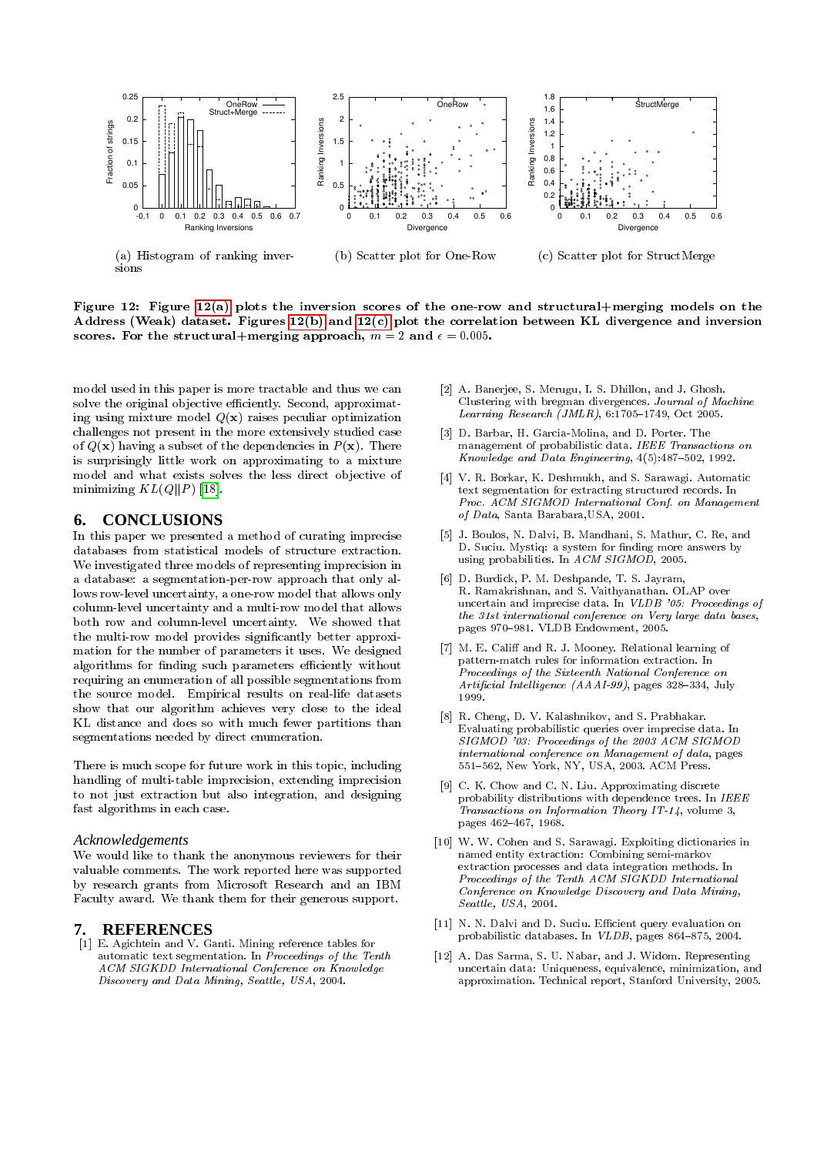<span id="page-10-11"></span>

Figure 12: Figure [12\(a\)](#page-10-11) plots the inversion scores of the one-row and structural+merging models on the Address (Weak) dataset. Figures [12\(b\)](#page-10-12) and [12\(c\)](#page-10-13) plot the correlation between KL divergence and inversion scores. For the structural+merging approach,  $m = 2$  and  $\epsilon = 0.005$ .

model used in this paper is more tractable and thus we can solve the original objective efficiently. Second, approximating using mixture model  $Q(x)$  raises peculiar optimization challenges not present in the more extensively studied case of  $Q(\mathbf{x})$  having a subset of the dependencies in  $P(\mathbf{x})$ . There is surprisingly little work on approximating to a mixture model and what exists solves the less direct objective of minimizing  $KL(Q||P)$  [\[18\]](#page-11-18).

# <span id="page-10-5"></span>**6. CONCLUSIONS**

In this paper we presented a method of curating imprecise databases from statistical models of structure extraction. We investigated three models of representing imprecision in a database: a segmentation-per-row approach that only allows row-level uncertainty, a one-row model that allows only column-level uncertainty and a multi-row model that allows both row and column-level uncertainty. We showed that the multi-row model provides signicantly better approximation for the number of parameters it uses. We designed algorithms for finding such parameters efficiently without requiring an enumeration of all possible segmentations from the source model. Empirical results on real-life datasets show that our algorithm achieves very close to the ideal KL distance and does so with much fewer partitions than segmentations needed by direct enumeration.

There is much scope for future work in this topic, including handling of multi-table imprecision, extending imprecision to not just extraction but also integration, and designing fast algorithms in each case.

#### *Acknowledgements*

We would like to thank the anonymous reviewers for their valuable comments. The work reported here was supported by research grants from Microsoft Research and an IBM Faculty award. We thank them for their generous support.

## **7. REFERENCES**

<span id="page-10-7"></span>[1] E. Agichtein and V. Ganti. Mining reference tables for automatic text segmentation. In Proceedings of the Tenth ACM SIGKDD International Conference on Knowledge Discovery and Data Mining, Seattle, USA, 2004.

- <span id="page-10-13"></span><span id="page-10-12"></span><span id="page-10-10"></span>[2] A. Banerjee, S. Merugu, I. S. Dhillon, and J. Ghosh. Clustering with bregman divergences. Journal of Machine Learning Research (JMLR),  $6:1705-1749$ , Oct 2005.
- <span id="page-10-2"></span>[3] D. Barbar, H. Garcia-Molina, and D. Porter. The management of probabilistic data. IEEE Transactions on Knowledge and Data Engineering,  $4(5):487-502$ , 1992.
- <span id="page-10-6"></span>[4] V. R. Borkar, K. Deshmukh, and S. Sarawagi. Automatic text segmentation for extracting structured records. In Proc. ACM SIGMOD International Conf. on Management of Data, Santa Barabara,USA, 2001.
- <span id="page-10-1"></span>[5] J. Boulos, N. Dalvi, B. Mandhani, S. Mathur, C. Re, and D. Suciu. Mystiq: a system for finding more answers by using probabilities. In  $A CM SI GMOD$ , 2005.
- <span id="page-10-15"></span>[6] D. Burdick, P. M. Deshpande, T. S. Jayram, R. Ramakrishnan, and S. Vaithyanathan. OLAP over uncertain and imprecise data. In VLDB '05: Proceedings of the 31st international conference on Very large data bases, pages 970-981. VLDB Endowment, 2005.
- <span id="page-10-0"></span>[7] M. E. Califf and R. J. Mooney. Relational learning of pattern-match rules for information extraction. In Proceedings of the Sixteenth National Conference on Artificial Intelligence  $(AAAI-99)$ , pages 328-334, July 1999.
- <span id="page-10-4"></span>[8] R. Cheng, D. V. Kalashnikov, and S. Prabhakar. Evaluating probabilistic queries over imprecise data. In SIGMOD '03: Proceedings of the 2003 ACM SIGMOD international conference on Management of data, pages 551-562, New York, NY, USA, 2003. ACM Press.
- <span id="page-10-9"></span>[9] C. K. Chow and C. N. Liu. Approximating discrete probability distributions with dependence trees. In IEEE Transactions on Information Theory IT-14, volume 3, pages 462-467, 1968.
- <span id="page-10-8"></span>[10] W. W. Cohen and S. Sarawagi. Exploiting dictionaries in named entity extraction: Combining semi-markov extraction processes and data integration methods. In Proceedings of the Tenth ACM SIGKDD International Conference on Knowledge Discovery and Data Mining, Seattle, USA, 2004.
- <span id="page-10-3"></span>[11] N. N. Dalvi and D. Suciu. Efficient query evaluation on probabilistic databases. In  $VLDB$ , pages 864-875, 2004.
- <span id="page-10-14"></span>[12] A. Das Sarma, S. U. Nabar, and J. Widom. Representing uncertain data: Uniqueness, equivalence, minimization, and approximation. Technical report, Stanford University, 2005.